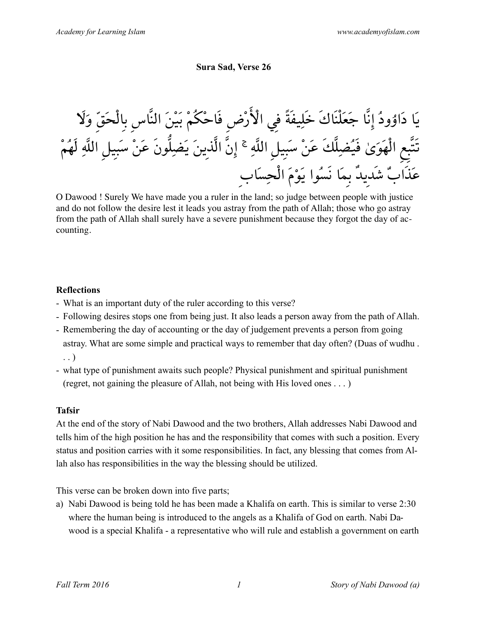#### **Sura Sad, Verse 26**

يَا دَاوُودُ إِنَّا جَعَلُنَائَ خَلِيفَةَّ في الأُرُضِ فَاحُكُمٌ بَيٌ الَنَّاسِ بالُحَقّ وَلاَ  
تَتَّعِ الُهَوَىٰ فَيُضِلَّكَ عَنْ سَبِيلِ الَلَّهِ 
$$
³َ إِنَّ الَّذِينَ يَضِلُّونَ عَنْ سَبِيلِ الَلَّهِ لَهُمُ
$$

O Dawood ! Surely We have made you a ruler in the land; so judge between people with justice and do not follow the desire lest it leads you astray from the path of Allah; those who go astray from the path of Allah shall surely have a severe punishment because they forgot the day of accounting.

#### **Reflections**

- What is an important duty of the ruler according to this verse?
- Following desires stops one from being just. It also leads a person away from the path of Allah.
- Remembering the day of accounting or the day of judgement prevents a person from going astray. What are some simple and practical ways to remember that day often? (Duas of wudhu . . . )
- what type of punishment awaits such people? Physical punishment and spiritual punishment (regret, not gaining the pleasure of Allah, not being with His loved ones . . . )

#### **Tafsir**

At the end of the story of Nabi Dawood and the two brothers, Allah addresses Nabi Dawood and tells him of the high position he has and the responsibility that comes with such a position. Every status and position carries with it some responsibilities. In fact, any blessing that comes from Allah also has responsibilities in the way the blessing should be utilized.

This verse can be broken down into five parts;

a) Nabi Dawood is being told he has been made a Khalifa on earth. This is similar to verse 2:30 where the human being is introduced to the angels as a Khalifa of God on earth. Nabi Dawood is a special Khalifa - a representative who will rule and establish a government on earth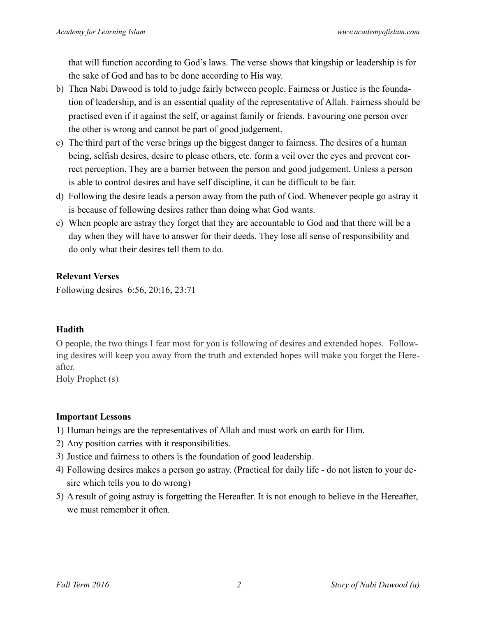that will function according to God's laws. The verse shows that kingship or leadership is for the sake of God and has to be done according to His way.

- b) Then Nabi Dawood is told to judge fairly between people. Fairness or Justice is the foundation of leadership, and is an essential quality of the representative of Allah. Fairness should be practised even if it against the self, or against family or friends. Favouring one person over the other is wrong and cannot be part of good judgement.
- c) The third part of the verse brings up the biggest danger to fairness. The desires of a human being, selfish desires, desire to please others, etc. form a veil over the eyes and prevent correct perception. They are a barrier between the person and good judgement. Unless a person is able to control desires and have self discipline, it can be difficult to be fair.
- d) Following the desire leads a person away from the path of God. Whenever people go astray it is because of following desires rather than doing what God wants.
- e) When people are astray they forget that they are accountable to God and that there will be a day when they will have to answer for their deeds. They lose all sense of responsibility and do only what their desires tell them to do.

### **Relevant Verses**

Following desires 6:56, 20:16, 23:71

# **Hadith**

O people, the two things I fear most for you is following of desires and extended hopes. Following desires will keep you away from the truth and extended hopes will make you forget the Hereafter.

Holy Prophet (s)

# **Important Lessons**

- 1) Human beings are the representatives of Allah and must work on earth for Him.
- 2) Any position carries with it responsibilities.
- 3) Justice and fairness to others is the foundation of good leadership.
- 4) Following desires makes a person go astray. (Practical for daily life do not listen to your desire which tells you to do wrong)
- 5) A result of going astray is forgetting the Hereafter. It is not enough to believe in the Hereafter, we must remember it often.